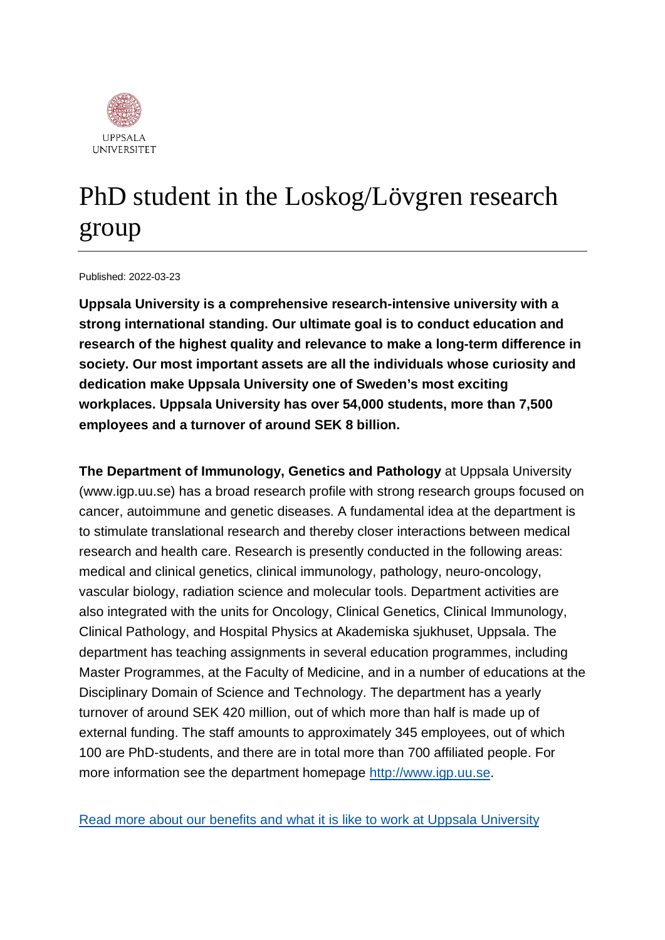

# PhD student in the Loskog/Lövgren research group

#### Published: 2022-03-23

**Uppsala University is a comprehensive research-intensive university with a strong international standing. Our ultimate goal is to conduct education and research of the highest quality and relevance to make a long-term difference in society. Our most important assets are all the individuals whose curiosity and dedication make Uppsala University one of Sweden's most exciting workplaces. Uppsala University has over 54,000 students, more than 7,500 employees and a turnover of around SEK 8 billion.**

**The Department of Immunology, Genetics and Pathology** at Uppsala University (www.igp.uu.se) has a broad research profile with strong research groups focused on cancer, autoimmune and genetic diseases. A fundamental idea at the department is to stimulate translational research and thereby closer interactions between medical research and health care. Research is presently conducted in the following areas: medical and clinical genetics, clinical immunology, pathology, neuro-oncology, vascular biology, radiation science and molecular tools. Department activities are also integrated with the units for Oncology, Clinical Genetics, Clinical Immunology, Clinical Pathology, and Hospital Physics at Akademiska sjukhuset, Uppsala. The department has teaching assignments in several education programmes, including Master Programmes, at the Faculty of Medicine, and in a number of educations at the Disciplinary Domain of Science and Technology. The department has a yearly turnover of around SEK 420 million, out of which more than half is made up of external funding. The staff amounts to approximately 345 employees, out of which 100 are PhD-students, and there are in total more than 700 affiliated people. For more information see the department homepage [http://www.igp.uu.se.](http://www.igp.uu.se/)

[Read more about our benefits and what it is like to work at Uppsala University](https://www.uu.se/en/about-uu/join-us/)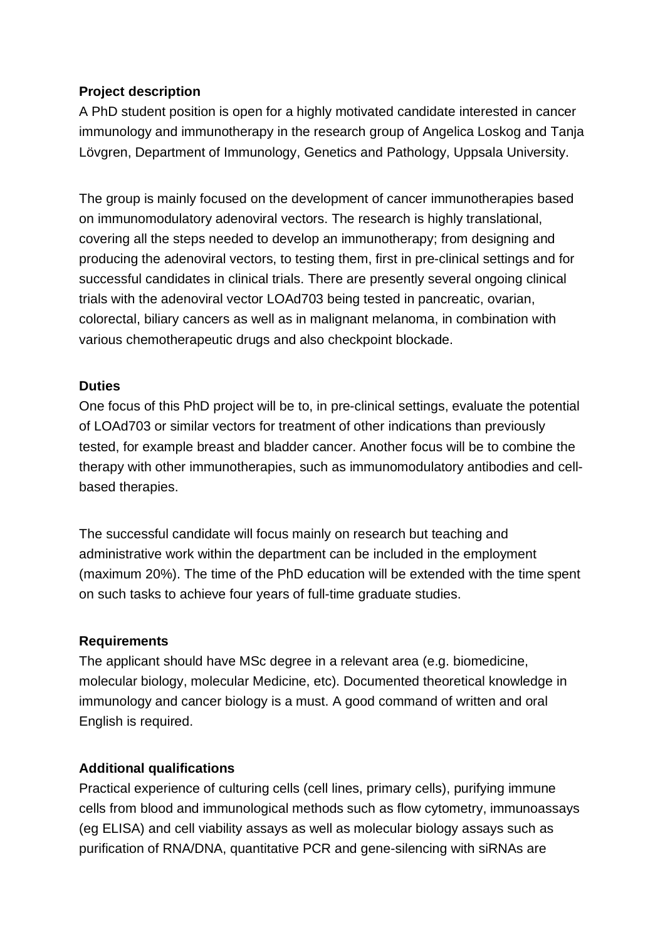## **Project description**

A PhD student position is open for a highly motivated candidate interested in cancer immunology and immunotherapy in the research group of Angelica Loskog and Tanja Lövgren, Department of Immunology, Genetics and Pathology, Uppsala University.

The group is mainly focused on the development of cancer immunotherapies based on immunomodulatory adenoviral vectors. The research is highly translational, covering all the steps needed to develop an immunotherapy; from designing and producing the adenoviral vectors, to testing them, first in pre-clinical settings and for successful candidates in clinical trials. There are presently several ongoing clinical trials with the adenoviral vector LOAd703 being tested in pancreatic, ovarian, colorectal, biliary cancers as well as in malignant melanoma, in combination with various chemotherapeutic drugs and also checkpoint blockade.

### **Duties**

One focus of this PhD project will be to, in pre-clinical settings, evaluate the potential of LOAd703 or similar vectors for treatment of other indications than previously tested, for example breast and bladder cancer. Another focus will be to combine the therapy with other immunotherapies, such as immunomodulatory antibodies and cellbased therapies.

The successful candidate will focus mainly on research but teaching and administrative work within the department can be included in the employment (maximum 20%). The time of the PhD education will be extended with the time spent on such tasks to achieve four years of full-time graduate studies.

### **Requirements**

The applicant should have MSc degree in a relevant area (e.g. biomedicine, molecular biology, molecular Medicine, etc). Documented theoretical knowledge in immunology and cancer biology is a must. A good command of written and oral English is required.

### **Additional qualifications**

Practical experience of culturing cells (cell lines, primary cells), purifying immune cells from blood and immunological methods such as flow cytometry, immunoassays (eg ELISA) and cell viability assays as well as molecular biology assays such as purification of RNA/DNA, quantitative PCR and gene-silencing with siRNAs are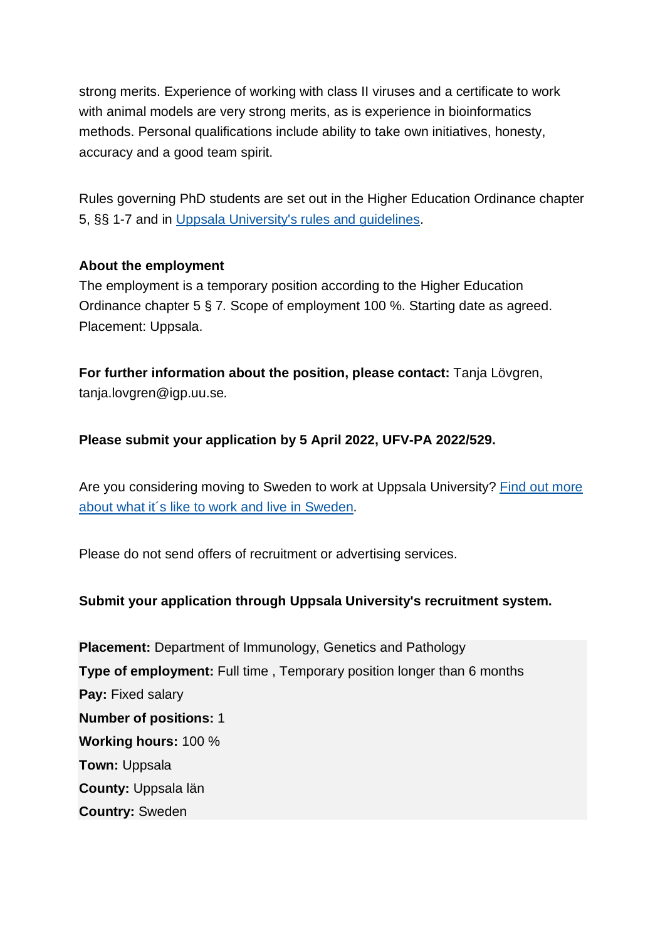strong merits. Experience of working with class II viruses and a certificate to work with animal models are very strong merits, as is experience in bioinformatics methods. Personal qualifications include ability to take own initiatives, honesty, accuracy and a good team spirit.

Rules governing PhD students are set out in the Higher Education Ordinance chapter 5, §§ 1-7 and in [Uppsala University's rules and guidelines.](https://regler.uu.se/?languageId=1)

### **About the employment**

The employment is a temporary position according to the Higher Education Ordinance chapter 5 § 7*.* Scope of employment 100 %. Starting date as agreed. Placement: Uppsala.

**For further information about the position, please contact:** Tanja Lövgren, tanja.lovgren@igp.uu.se*.*

### **Please submit your application by 5 April 2022, UFV-PA 2022/529.**

Are you considering moving to Sweden to work at Uppsala University? [Find out more](https://www.uu.se/en/about-uu/join-us/advantages/)  [about what it´s like to work and live in](https://www.uu.se/en/about-uu/join-us/advantages/) Sweden.

Please do not send offers of recruitment or advertising services.

### **Submit your application through Uppsala University's recruitment system.**

**Placement:** Department of Immunology, Genetics and Pathology **Type of employment:** Full time , Temporary position longer than 6 months **Pay:** Fixed salary **Number of positions:** 1 **Working hours:** 100 % **Town:** Uppsala **County:** Uppsala län **Country:** Sweden